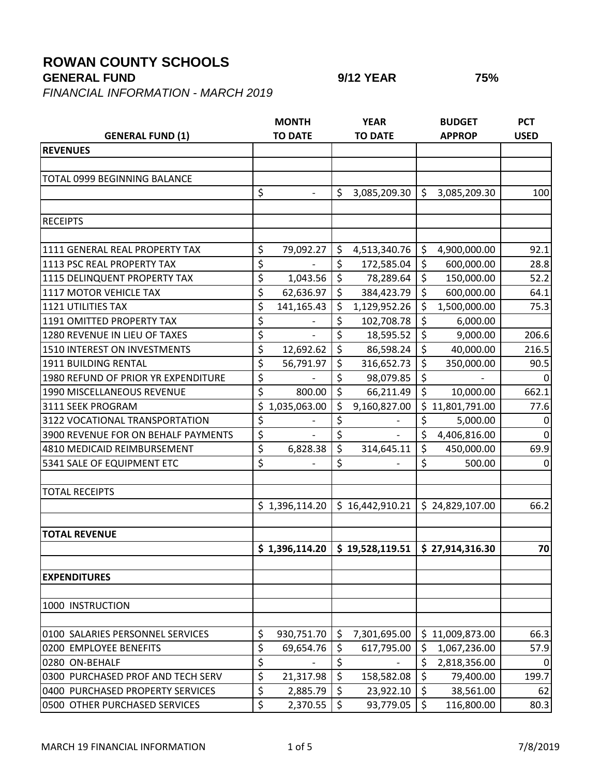## **ROWAN COUNTY SCHOOLS**

**GENERAL FUND 9/12 YEAR 75%**

*FINANCIAL INFORMATION - MARCH 2019*

| <b>GENERAL FUND (1)</b>             |                  | <b>MONTH</b><br><b>TO DATE</b> |                  | <b>YEAR</b><br><b>TO DATE</b>            |                          | <b>BUDGET</b><br><b>APPROP</b> | <b>PCT</b><br><b>USED</b> |
|-------------------------------------|------------------|--------------------------------|------------------|------------------------------------------|--------------------------|--------------------------------|---------------------------|
| <b>REVENUES</b>                     |                  |                                |                  |                                          |                          |                                |                           |
|                                     |                  |                                |                  |                                          |                          |                                |                           |
| TOTAL 0999 BEGINNING BALANCE        |                  |                                |                  |                                          |                          |                                |                           |
|                                     | \$               | $\overline{\phantom{a}}$       | \$               | 3,085,209.30                             | $\zeta$                  | 3,085,209.30                   | 100                       |
|                                     |                  |                                |                  |                                          |                          |                                |                           |
| <b>RECEIPTS</b>                     |                  |                                |                  |                                          |                          |                                |                           |
|                                     |                  |                                |                  |                                          |                          |                                |                           |
| 1111 GENERAL REAL PROPERTY TAX      | \$               | 79,092.27                      | \$               | 4,513,340.76                             | \$                       | 4,900,000.00                   | 92.1                      |
| 1113 PSC REAL PROPERTY TAX          | \$               |                                | \$               | 172,585.04                               | \$                       | 600,000.00                     | 28.8                      |
| 1115 DELINQUENT PROPERTY TAX        | $\overline{\xi}$ | 1,043.56                       | $\zeta$          | 78,289.64                                | \$                       | 150,000.00                     | 52.2                      |
| 1117 MOTOR VEHICLE TAX              | \$               | 62,636.97                      | \$               | 384,423.79                               | $\zeta$                  | 600,000.00                     | 64.1                      |
| <b>1121 UTILITIES TAX</b>           | \$               | 141,165.43                     | \$               | 1,129,952.26                             | \$                       | 1,500,000.00                   | 75.3                      |
| 1191 OMITTED PROPERTY TAX           | \$               |                                | \$               | 102,708.78                               | \$                       | 6,000.00                       |                           |
| 1280 REVENUE IN LIEU OF TAXES       | \$               |                                | \$               | 18,595.52                                | \$                       | 9,000.00                       | 206.6                     |
| 1510 INTEREST ON INVESTMENTS        | \$               | 12,692.62                      | \$               | 86,598.24                                | \$                       | 40,000.00                      | 216.5                     |
| 1911 BUILDING RENTAL                | \$               | 56,791.97                      | \$               | 316,652.73                               | \$                       | 350,000.00                     | 90.5                      |
| 1980 REFUND OF PRIOR YR EXPENDITURE | \$               |                                | \$               | 98,079.85                                | \$                       |                                |                           |
| 1990 MISCELLANEOUS REVENUE          | \$               | 800.00                         | $\zeta$          | 66,211.49                                | $\overline{\xi}$         | 10,000.00                      | 662.1                     |
| 3111 SEEK PROGRAM                   | \$               | 1,035,063.00                   | \$               | 9,160,827.00                             |                          | \$11,801,791.00                | 77.6                      |
| 3122 VOCATIONAL TRANSPORTATION      | \$               |                                | \$               |                                          | \$                       | 5,000.00                       | $\mathbf{0}$              |
| 3900 REVENUE FOR ON BEHALF PAYMENTS | \$               |                                | \$               |                                          | \$                       | 4,406,816.00                   | $\mathbf 0$               |
| 4810 MEDICAID REIMBURSEMENT         | \$               | 6,828.38                       | \$               | 314,645.11                               | \$                       | 450,000.00                     | 69.9                      |
| 5341 SALE OF EQUIPMENT ETC          | \$               |                                | $\overline{\xi}$ |                                          | \$                       | 500.00                         | $\overline{0}$            |
|                                     |                  |                                |                  |                                          |                          |                                |                           |
| <b>TOTAL RECEIPTS</b>               |                  |                                |                  |                                          |                          |                                |                           |
|                                     |                  | \$1,396,114.20                 |                  | \$16,442,910.21                          |                          | \$24,829,107.00                | 66.2                      |
|                                     |                  |                                |                  |                                          |                          |                                |                           |
| <b>TOTAL REVENUE</b>                |                  |                                |                  |                                          |                          |                                |                           |
|                                     |                  |                                |                  | $$1,396,114.20 \mid $19,528,119.51 \mid$ |                          | \$27,914,316.30                | 70                        |
| <b>EXPENDITURES</b>                 |                  |                                |                  |                                          |                          |                                |                           |
|                                     |                  |                                |                  |                                          |                          |                                |                           |
| 1000 INSTRUCTION                    |                  |                                |                  |                                          |                          |                                |                           |
| 0100 SALARIES PERSONNEL SERVICES    | \$               | 930,751.70                     | $\zeta$          | 7,301,695.00                             |                          | \$11,009,873.00                | 66.3                      |
| 0200 EMPLOYEE BENEFITS              | \$               | 69,654.76                      | \$               | 617,795.00                               | \$                       | 1,067,236.00                   | 57.9                      |
| 0280 ON-BEHALF                      | \$               |                                | \$               |                                          | \$                       | 2,818,356.00                   | 0                         |
| 0300 PURCHASED PROF AND TECH SERV   | \$               | 21,317.98                      | $\zeta$          | 158,582.08                               | $\overline{\mathcal{S}}$ | 79,400.00                      | 199.7                     |
| 0400 PURCHASED PROPERTY SERVICES    | \$               | 2,885.79                       | \$               | 23,922.10                                | \$                       | 38,561.00                      | 62                        |
| 0500 OTHER PURCHASED SERVICES       | \$               | 2,370.55                       | $\zeta$          | 93,779.05                                | $\zeta$                  | 116,800.00                     | 80.3                      |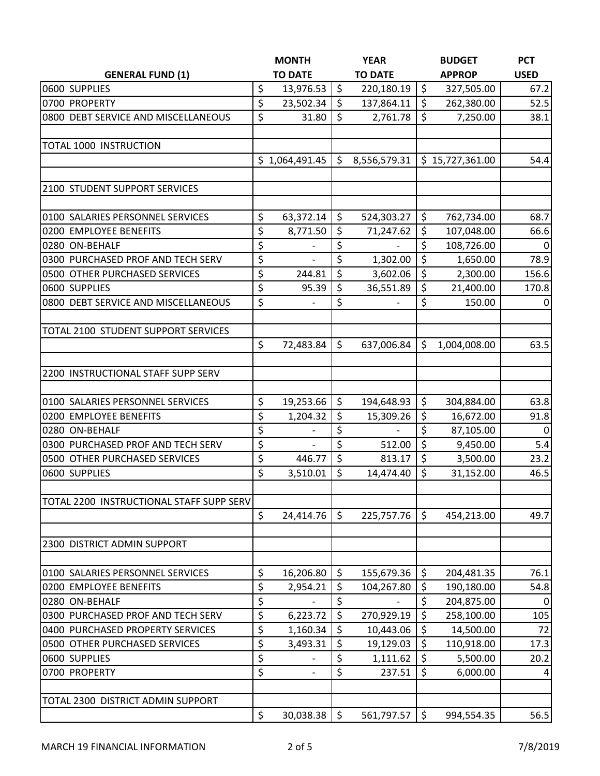|                                          | <b>MONTH</b>         |         | <b>YEAR</b>    |                          | <b>BUDGET</b>   | <b>PCT</b>   |
|------------------------------------------|----------------------|---------|----------------|--------------------------|-----------------|--------------|
| <b>GENERAL FUND (1)</b>                  | <b>TO DATE</b>       |         | <b>TO DATE</b> |                          | <b>APPROP</b>   | <b>USED</b>  |
| 0600 SUPPLIES                            | \$<br>13,976.53      | $\zeta$ | 220,180.19     | $\zeta$                  | 327,505.00      | 67.2         |
| 0700 PROPERTY                            | \$<br>23,502.34      | \$      | 137,864.11     | \$                       | 262,380.00      | 52.5         |
| 0800 DEBT SERVICE AND MISCELLANEOUS      | \$<br>31.80          | \$      | 2,761.78       | \$                       | 7,250.00        | 38.1         |
| <b>TOTAL 1000 INSTRUCTION</b>            |                      |         |                |                          |                 |              |
|                                          | \$1,064,491.45       | \$      | 8,556,579.31   |                          | \$15,727,361.00 | 54.4         |
| 2100 STUDENT SUPPORT SERVICES            |                      |         |                |                          |                 |              |
| 0100 SALARIES PERSONNEL SERVICES         | \$<br>63,372.14      | \$      | 524,303.27     | \$                       | 762,734.00      | 68.7         |
| 0200 EMPLOYEE BENEFITS                   | \$<br>8,771.50       | \$      | 71,247.62      | \$                       | 107,048.00      | 66.6         |
| 0280 ON-BEHALF                           | \$                   | \$      |                | $\overline{\xi}$         | 108,726.00      | 0            |
| 0300 PURCHASED PROF AND TECH SERV        | \$<br>$\overline{a}$ | \$      | 1,302.00       | \$                       | 1,650.00        | 78.9         |
| 0500 OTHER PURCHASED SERVICES            | \$<br>244.81         | \$      | 3,602.06       | $\overline{\xi}$         | 2,300.00        | 156.6        |
| 0600 SUPPLIES                            | \$<br>95.39          | \$      | 36,551.89      | $\zeta$                  | 21,400.00       | 170.8        |
| 0800 DEBT SERVICE AND MISCELLANEOUS      | \$                   | \$      |                | $\overline{\xi}$         | 150.00          | $\mathbf 0$  |
| TOTAL 2100 STUDENT SUPPORT SERVICES      |                      |         |                |                          |                 |              |
|                                          | \$<br>72,483.84      | \$      | 637,006.84     | \$                       | 1,004,008.00    | 63.5         |
| 2200 INSTRUCTIONAL STAFF SUPP SERV       |                      |         |                |                          |                 |              |
| 0100 SALARIES PERSONNEL SERVICES         | \$<br>19,253.66      | $\zeta$ | 194,648.93     | \$                       | 304,884.00      | 63.8         |
| 0200 EMPLOYEE BENEFITS                   | \$<br>1,204.32       | \$      | 15,309.26      | \$                       | 16,672.00       | 91.8         |
| 0280 ON-BEHALF                           | \$                   | \$      | $\overline{a}$ | $\overline{\xi}$         | 87,105.00       | $\mathbf 0$  |
| 0300 PURCHASED PROF AND TECH SERV        | \$                   | \$      | 512.00         | \$                       | 9,450.00        | 5.4          |
| 0500 OTHER PURCHASED SERVICES            | \$<br>446.77         | \$      | 813.17         | \$                       | 3,500.00        | 23.2         |
| 0600 SUPPLIES                            | \$<br>3,510.01       | $\zeta$ | 14,474.40      | $\overline{\mathcal{S}}$ | 31,152.00       | 46.5         |
| TOTAL 2200 INSTRUCTIONAL STAFF SUPP SERV |                      |         |                |                          |                 |              |
|                                          | \$<br>24,414.76      | $\zeta$ | 225,757.76     | $\zeta$                  | 454,213.00      | 49.7         |
| 2300 DISTRICT ADMIN SUPPORT              |                      |         |                |                          |                 |              |
| 0100 SALARIES PERSONNEL SERVICES         | \$<br>16,206.80      | $\zeta$ | 155,679.36     | \$                       | 204,481.35      | 76.1         |
| 0200 EMPLOYEE BENEFITS                   | \$<br>2,954.21       | \$      | 104,267.80     | \$                       | 190,180.00      | 54.8         |
| 0280 ON-BEHALF                           | \$                   | \$      |                | \$                       | 204,875.00      | $\mathbf{0}$ |
| 0300 PURCHASED PROF AND TECH SERV        | \$<br>6,223.72       | \$      | 270,929.19     | \$                       | 258,100.00      | 105          |
| 0400 PURCHASED PROPERTY SERVICES         | \$<br>1,160.34       | \$      | 10,443.06      | \$                       | 14,500.00       | 72           |
| 0500 OTHER PURCHASED SERVICES            | \$<br>3,493.31       | \$      | 19,129.03      | \$                       | 110,918.00      | 17.3         |
| 0600 SUPPLIES                            | \$                   | \$      | 1,111.62       | \$                       | 5,500.00        | 20.2         |
| 0700 PROPERTY                            | \$                   | \$      | 237.51         | \$                       | 6,000.00        | 4            |
| TOTAL 2300 DISTRICT ADMIN SUPPORT        |                      |         |                |                          |                 |              |
|                                          | \$<br>30,038.38      | $\zeta$ | 561,797.57     | \$                       | 994,554.35      | 56.5         |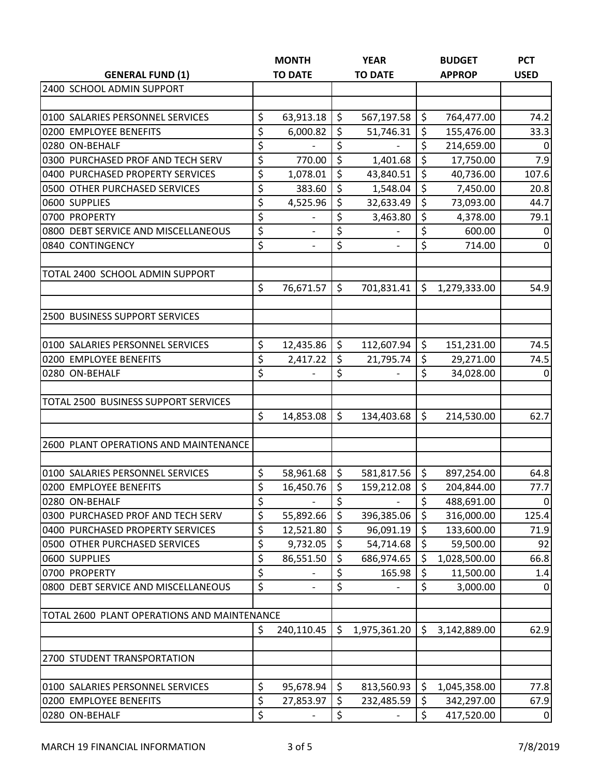|                                             | <b>MONTH</b>                   |                    | <b>YEAR</b>              |                  | <b>BUDGET</b> | <b>PCT</b>      |
|---------------------------------------------|--------------------------------|--------------------|--------------------------|------------------|---------------|-----------------|
| <b>GENERAL FUND (1)</b>                     | <b>TO DATE</b>                 |                    | <b>TO DATE</b>           |                  | <b>APPROP</b> | <b>USED</b>     |
| 2400 SCHOOL ADMIN SUPPORT                   |                                |                    |                          |                  |               |                 |
|                                             |                                |                    |                          |                  |               |                 |
| 0100 SALARIES PERSONNEL SERVICES            | \$<br>63,913.18                | \$                 | 567,197.58               | \$               | 764,477.00    | 74.2            |
| 0200 EMPLOYEE BENEFITS                      | \$<br>6,000.82                 | \$                 | 51,746.31                | \$               | 155,476.00    | 33.3            |
| 0280 ON-BEHALF                              | \$                             | \$                 |                          | \$               | 214,659.00    | $\mathbf 0$     |
| 0300 PURCHASED PROF AND TECH SERV           | \$<br>770.00                   | \$                 | 1,401.68                 | \$               | 17,750.00     | 7.9             |
| 0400 PURCHASED PROPERTY SERVICES            | \$<br>1,078.01                 | \$                 | 43,840.51                | \$               | 40,736.00     | 107.6           |
| 0500 OTHER PURCHASED SERVICES               | \$<br>383.60                   | \$                 | 1,548.04                 | \$               | 7,450.00      | 20.8            |
| 0600 SUPPLIES                               | \$<br>4,525.96                 | \$                 | 32,633.49                | $\overline{\xi}$ | 73,093.00     | 44.7            |
| 0700 PROPERTY                               | \$<br>$\overline{\phantom{0}}$ | \$                 | 3,463.80                 | $\overline{\xi}$ | 4,378.00      | 79.1            |
| 0800 DEBT SERVICE AND MISCELLANEOUS         | \$                             | \$                 |                          | \$               | 600.00        | $\mathbf 0$     |
| 0840 CONTINGENCY                            | \$<br>$\overline{\phantom{a}}$ | \$                 | $\overline{\phantom{a}}$ | \$               | 714.00        | $\overline{0}$  |
| TOTAL 2400 SCHOOL ADMIN SUPPORT             |                                |                    |                          |                  |               |                 |
|                                             | \$<br>76,671.57                | \$                 | 701,831.41               | \$               | 1,279,333.00  | 54.9            |
| 2500 BUSINESS SUPPORT SERVICES              |                                |                    |                          |                  |               |                 |
|                                             |                                |                    |                          |                  |               |                 |
| 0100 SALARIES PERSONNEL SERVICES            | \$<br>12,435.86                | \$                 | 112,607.94               | \$               | 151,231.00    | 74.5            |
| 0200 EMPLOYEE BENEFITS                      | \$<br>2,417.22                 | \$                 | 21,795.74                | \$               | 29,271.00     | 74.5            |
| 0280 ON-BEHALF                              | \$                             | \$                 |                          | $\overline{\xi}$ | 34,028.00     | $\overline{0}$  |
| TOTAL 2500 BUSINESS SUPPORT SERVICES        |                                |                    |                          |                  |               |                 |
|                                             | \$<br>14,853.08                | \$                 | 134,403.68               | \$               | 214,530.00    | 62.7            |
| 2600 PLANT OPERATIONS AND MAINTENANCE       |                                |                    |                          |                  |               |                 |
|                                             |                                |                    |                          |                  |               |                 |
| 0100 SALARIES PERSONNEL SERVICES            | \$<br>58,961.68                | $\ddot{\varsigma}$ | 581,817.56               | \$               | 897,254.00    | 64.8            |
| 0200 EMPLOYEE BENEFITS                      | \$<br>16,450.76                | \$                 | 159,212.08               | \$               | 204,844.00    | 77.7            |
| 0280 ON-BEHALF                              | \$                             | \$                 |                          | \$               | 488,691.00    | $\overline{0}$  |
| 0300 PURCHASED PROF AND TECH SERV           | \$<br>55,892.66                | \$                 | 396,385.06               | \$               | 316,000.00    | 125.4           |
| 0400 PURCHASED PROPERTY SERVICES            | \$<br>12,521.80                | $\zeta$            | 96,091.19                | \$               | 133,600.00    | 71.9            |
| 0500 OTHER PURCHASED SERVICES               | \$<br>9,732.05                 | \$                 | 54,714.68                | \$               | 59,500.00     | 92              |
| 0600 SUPPLIES                               | \$<br>86,551.50                | \$                 | 686,974.65               | \$               | 1,028,500.00  | 66.8            |
| 0700 PROPERTY                               | \$                             | \$                 | 165.98                   | \$               | 11,500.00     | 1.4             |
| 0800 DEBT SERVICE AND MISCELLANEOUS         | \$                             | \$                 |                          | \$               | 3,000.00      | $\Omega$        |
| TOTAL 2600 PLANT OPERATIONS AND MAINTENANCE |                                |                    |                          |                  |               |                 |
|                                             | \$<br>240,110.45               | \$                 | 1,975,361.20             | \$               | 3,142,889.00  | 62.9            |
| 2700 STUDENT TRANSPORTATION                 |                                |                    |                          |                  |               |                 |
|                                             |                                |                    |                          |                  |               |                 |
| 0100 SALARIES PERSONNEL SERVICES            | \$<br>95,678.94                | \$<br>\$           | 813,560.93               | \$<br>\$         | 1,045,358.00  | 77.8            |
| 0200 EMPLOYEE BENEFITS                      | \$<br>27,853.97                |                    | 232,485.59               |                  | 342,297.00    | 67.9            |
| 0280 ON-BEHALF                              | \$                             | \$                 |                          | \$               | 417,520.00    | $\vert 0 \vert$ |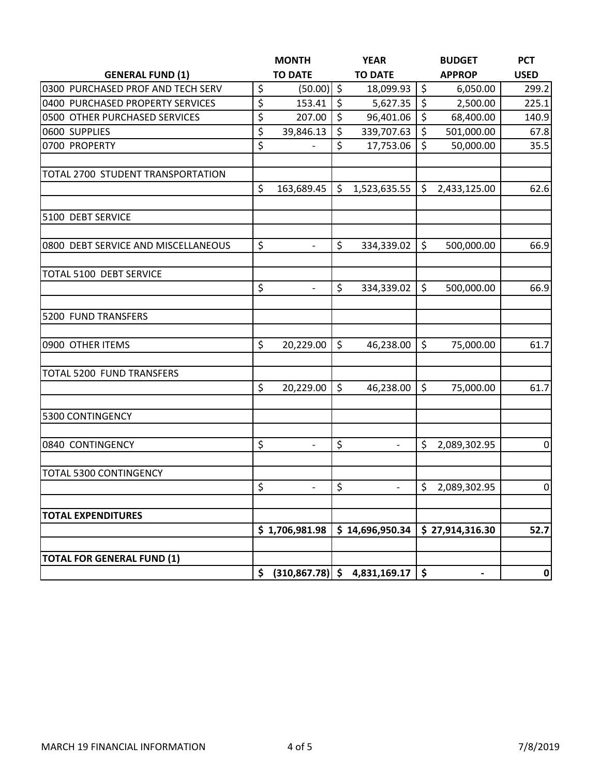|                                     | <b>MONTH</b>                   |         | <b>YEAR</b>                    |         | <b>BUDGET</b>   | <b>PCT</b>     |
|-------------------------------------|--------------------------------|---------|--------------------------------|---------|-----------------|----------------|
| <b>GENERAL FUND (1)</b>             | <b>TO DATE</b>                 |         | <b>TO DATE</b>                 |         | <b>APPROP</b>   | <b>USED</b>    |
| 0300 PURCHASED PROF AND TECH SERV   | \$<br>$(50.00)$ \$             |         | 18,099.93                      | \$      | 6,050.00        | 299.2          |
| 0400 PURCHASED PROPERTY SERVICES    | \$<br>153.41                   | $\zeta$ | 5,627.35                       | \$      | 2,500.00        | 225.1          |
| 0500 OTHER PURCHASED SERVICES       | \$<br>207.00                   | \$      | 96,401.06                      | $\zeta$ | 68,400.00       | 140.9          |
| 0600 SUPPLIES                       | \$<br>39,846.13                | \$      | 339,707.63                     | \$      | 501,000.00      | 67.8           |
| 0700 PROPERTY                       | \$                             | \$      | 17,753.06                      | \$      | 50,000.00       | 35.5           |
| TOTAL 2700 STUDENT TRANSPORTATION   |                                |         |                                |         |                 |                |
|                                     | \$<br>163,689.45               | \$      | 1,523,635.55                   | \$      | 2,433,125.00    | 62.6           |
| 5100 DEBT SERVICE                   |                                |         |                                |         |                 |                |
| 0800 DEBT SERVICE AND MISCELLANEOUS | \$<br>$\overline{\phantom{0}}$ | \$      | 334,339.02                     | \$      | 500,000.00      | 66.9           |
| TOTAL 5100 DEBT SERVICE             |                                |         |                                |         |                 |                |
|                                     | \$<br>$\overline{\phantom{a}}$ | \$      | 334,339.02                     | \$      | 500,000.00      | 66.9           |
| 5200 FUND TRANSFERS                 |                                |         |                                |         |                 |                |
| 0900 OTHER ITEMS                    | \$<br>20,229.00                | \$      | 46,238.00                      | \$      | 75,000.00       | 61.7           |
| TOTAL 5200 FUND TRANSFERS           |                                |         |                                |         |                 |                |
|                                     | \$<br>20,229.00                | \$      | 46,238.00                      | \$      | 75,000.00       | 61.7           |
| 5300 CONTINGENCY                    |                                |         |                                |         |                 |                |
| 0840 CONTINGENCY                    | \$<br>$\overline{\phantom{0}}$ | \$      | $\overline{\phantom{0}}$       | \$      | 2,089,302.95    | $\mathbf 0$    |
| TOTAL 5300 CONTINGENCY              |                                |         |                                |         |                 |                |
|                                     | \$<br>$\overline{\phantom{0}}$ | \$      | $\overline{\phantom{0}}$       | \$      | 2,089,302.95    | $\overline{0}$ |
| <b>TOTAL EXPENDITURES</b>           |                                |         |                                |         |                 |                |
|                                     | \$1,706,981.98                 |         | \$14,696,950.34                |         | \$27,914,316.30 | 52.7           |
| <b>TOTAL FOR GENERAL FUND (1)</b>   |                                |         |                                |         |                 |                |
|                                     | \$                             |         | $(310,867.78)$ \$ 4,831,169.17 | \$      |                 | 0              |